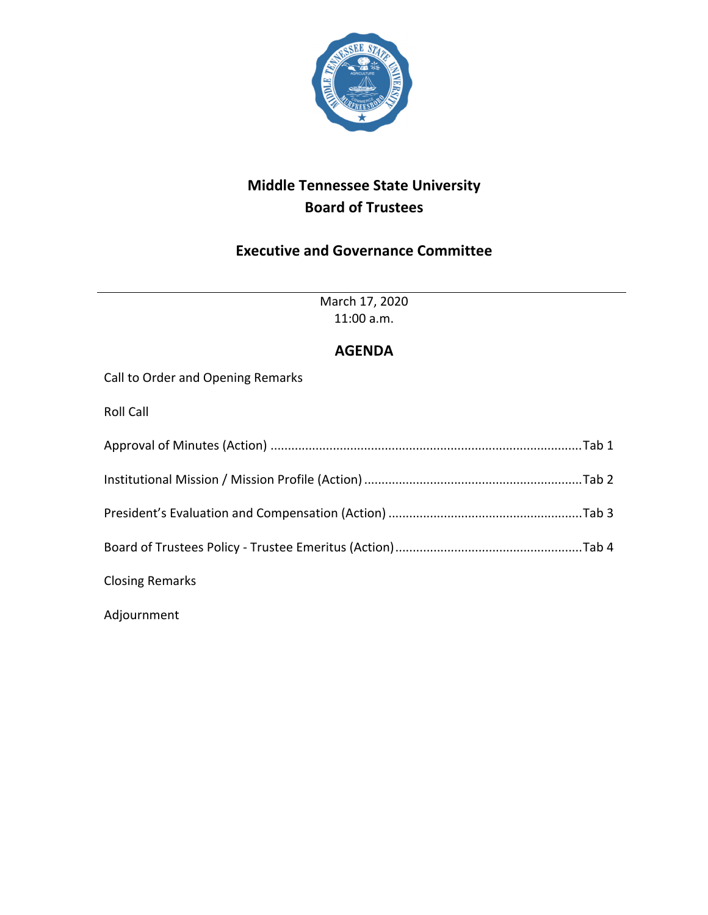

## **Middle Tennessee State University Board of Trustees**

## **Executive and Governance Committee**

March 17, 2020 11:00 a.m.

**AGENDA** Call to Order and Opening Remarks Roll Call Approval of Minutes (Action) ..........................................................................................Tab 1 Institutional Mission / Mission Profile (Action)...............................................................Tab 2 President's Evaluation and Compensation (Action) ........................................................Tab 3 Board of Trustees Policy ‐ Trustee Emeritus (Action)......................................................Tab 4 Closing Remarks Adjournment